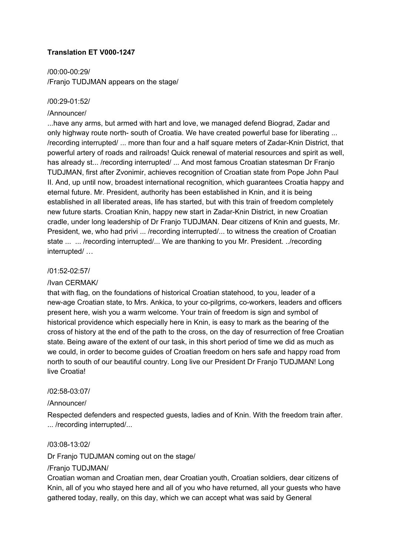# **Translation ET V000-1247**

/00:00-00:29/ /Franjo TUDJMAN appears on the stage/

### /00:29-01:52/

### /Announcer/

...have any arms, but armed with hart and love, we managed defend Biograd, Zadar and only highway route north- south of Croatia. We have created powerful base for liberating ... /recording interrupted/ ... more than four and a half square meters of Zadar-Knin District, that powerful artery of roads and railroads! Quick renewal of material resources and spirit as well, has already st... /recording interrupted/ ... And most famous Croatian statesman Dr Franjo TUDJMAN, first after Zvonimir, achieves recognition of Croatian state from Pope John Paul II. And, up until now, broadest international recognition, which guarantees Croatia happy and eternal future. Mr. President, authority has been established in Knin, and it is being established in all liberated areas, life has started, but with this train of freedom completely new future starts. Croatian Knin, happy new start in Zadar-Knin District, in new Croatian cradle, under long leadership of Dr Franjo TUDJMAN. Dear citizens of Knin and guests, Mr. President, we, who had privi ... /recording interrupted/... to witness the creation of Croatian state ... ... /recording interrupted/... We are thanking to you Mr. President. ../recording interrupted/ …

### /01:5202:57/

### /Ivan CERMAK/

that with flag, on the foundations of historical Croatian statehood, to you, leader of a new-age Croatian state, to Mrs. Ankica, to your co-pilgrims, co-workers, leaders and officers present here, wish you a warm welcome. Your train of freedom is sign and symbol of historical providence which especially here in Knin, is easy to mark as the bearing of the cross of history at the end of the path to the cross, on the day of resurrection of free Croatian state. Being aware of the extent of our task, in this short period of time we did as much as we could, in order to become guides of Croatian freedom on hers safe and happy road from north to south of our beautiful country. Long live our President Dr Franjo TUDJMAN! Long live Croatia!

### /02:58-03:07/

### /Announcer/

Respected defenders and respected guests, ladies and of Knin. With the freedom train after. ... /recording interrupted/...

### /03:08-13:02/

Dr Franjo TUDJMAN coming out on the stage/

#### /Franjo TUDJMAN/

Croatian woman and Croatian men, dear Croatian youth, Croatian soldiers, dear citizens of Knin, all of you who stayed here and all of you who have returned, all your guests who have gathered today, really, on this day, which we can accept what was said by General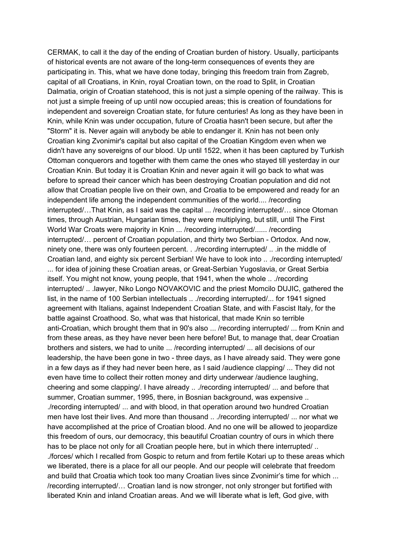CERMAK, to call it the day of the ending of Croatian burden of history. Usually, participants of historical events are not aware of the long-term consequences of events they are participating in. This, what we have done today, bringing this freedom train from Zagreb, capital of all Croatians, in Knin, royal Croatian town, on the road to Split, in Croatian Dalmatia, origin of Croatian statehood, this is not just a simple opening of the railway. This is not just a simple freeing of up until now occupied areas; this is creation of foundations for independent and sovereign Croatian state, for future centuries! As long as they have been in Knin, while Knin was under occupation, future of Croatia hasn't been secure, but after the "Storm" it is. Never again will anybody be able to endanger it. Knin has not been only Croatian king Zvonimir's capital but also capital of the Croatian Kingdom even when we didn't have any sovereigns of our blood. Up until 1522, when it has been captured by Turkish Ottoman conquerors and together with them came the ones who stayed till yesterday in our Croatian Knin. But today it is Croatian Knin and never again it will go back to what was before to spread their cancer which has been destroying Croatian population and did not allow that Croatian people live on their own, and Croatia to be empowered and ready for an independent life among the independent communities of the world.... /recording interrupted/…That Knin, as I said was the capital ... /recording interrupted/… since Otoman times, through Austrian, Hungarian times, they were multiplying, but still, until The First World War Croats were majority in Knin ... /recording interrupted/...... /recording interrupted/... percent of Croatian population, and thirty two Serbian - Ortodox. And now, ninety one, there was only fourteen percent. . ./recording interrupted/ .. .in the middle of Croatian land, and eighty six percent Serbian! We have to look into .. ./recording interrupted/ ... for idea of joining these Croatian areas, or Great-Serbian Yugoslavia, or Great Serbia itself. You might not know, young people, that 1941, when the whole .. ./recording interrupted/ .. .lawyer, Niko Longo NOVAKOVIC and the priest Momcilo DUJIC, gathered the list, in the name of 100 Serbian intellectuals .. ./recording interrupted/... for 1941 signed agreement with Italians, against Independent Croatian State, and with Fascist Italy, for the battle against Croathood. So, what was that historical, that made Knin so terrible anti-Croatian, which brought them that in 90's also ... /recording interrupted/ ... from Knin and from these areas, as they have never been here before! But, to manage that, dear Croatian brothers and sisters, we had to unite ... /recording interrupted/ ... all decisions of our leadership, the have been gone in two - three days, as I have already said. They were gone in a few days as if they had never been here, as I said /audience clapping/ ... They did not even have time to collect their rotten money and dirty underwear /audience laughing, cheering and some clapping/. I have already .. ./recording interrupted/ ... and before that summer, Croatian summer, 1995, there, in Bosnian background, was expensive .. ./recording interrupted/ ... and with blood, in that operation around two hundred Croatian men have lost their lives. And more than thousand .. ./recording interrupted/ ... nor what we have accomplished at the price of Croatian blood. And no one will be allowed to jeopardize this freedom of ours, our democracy, this beautiful Croatian country of ours in which there has to be place not only for all Croatian people here, but in which there interrupted/ .. ./forces/ which I recalled from Gospic to return and from fertile Kotari up to these areas which we liberated, there is a place for all our people. And our people will celebrate that freedom and build that Croatia which took too many Croatian lives since Zvonimir's time for which ... /recording interrupted/… Croatian land is now stronger, not only stronger but fortified with liberated Knin and inland Croatian areas. And we will liberate what is left, God give, with